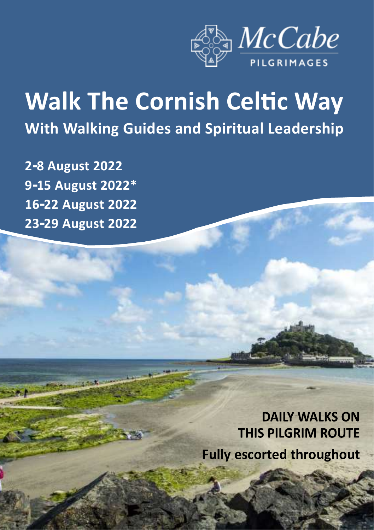

# **Walk The Cornish Celtic Way With Walking Guides and Spiritual Leadership**

**2-8 August 2022 9-15 August 2022\* 16-22 August 2022 23-29 August 2022**

> **DAILY WALKS ON THIS PILGRIM ROUTE Fully escorted throughout**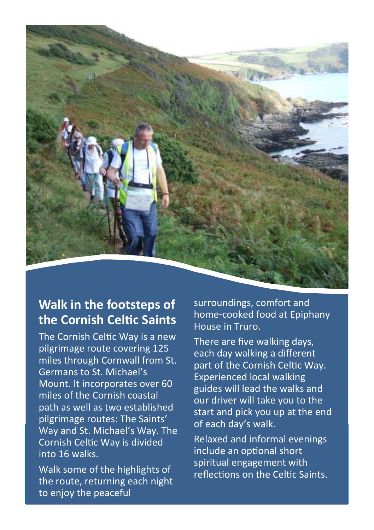

## **Walk in the footsteps of the Cornish Celtic Saints**

The Cornish Celtic Way is a new pilgrimage route covering 125 miles through Cornwall from St. Germans to St. Michael's Mount. It incorporates over 60 miles of the Cornish coastal path as well as two established pilgrimage routes: The Saints' Way and St. Michael's Way. The Cornish Celtic Way is divided into 16 walks.

Walk some of the highlights of the route, returning each night to enjoy the peaceful

surroundings, comfort and home-cooked food at Epiphany House in Truro.

There are five walking days, each day walking a different part of the Cornish Celtic Way. Experienced local walking guides will lead the walks and our driver will take you to the start and pick you up at the end of each day's walk.

Relaxed and informal evenings include an optional short spiritual engagement with reflections on the Celtic Saints.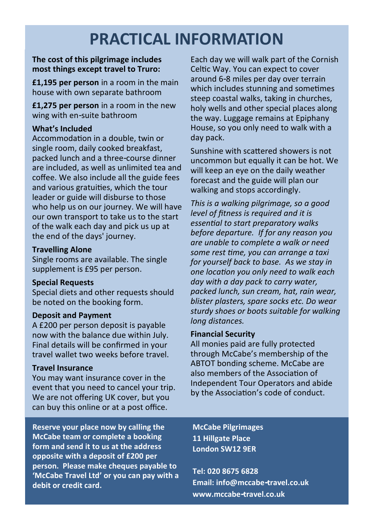# **PRACTICAL INFORMATION**

#### **The cost of this pilgrimage includes most things except travel to Truro:**

**£1,195 per person** in a room in the main house with own separate bathroom

**£1,275 per person** in a room in the new wing with en-suite bathroom

#### **What's Included**

Accommodation in a double, twin or single room, daily cooked breakfast. packed lunch and a three-course dinner are included, as well as unlimited tea and coffee. We also include all the guide fees and various gratuities, which the tour leader or guide will disburse to those who help us on our journey. We will have our own transport to take us to the start of the walk each day and pick us up at the end of the days' journey.

#### **Travelling Alone**

Single rooms are available. The single supplement is £95 per person.

#### **Special Requests**

Special diets and other requests should be noted on the booking form.

#### **Deposit and Payment**

A £200 per person deposit is payable now with the balance due within July. Final details will be confirmed in your travel wallet two weeks before travel.

#### **Travel Insurance**

You may want insurance cover in the event that you need to cancel your trip. We are not offering UK cover, but you can buy this online or at a post office.

**Reserve your place now by calling the McCabe team or complete a booking form and send it to us at the address opposite with a deposit of £200 per person. Please make cheques payable to 'McCabe Travel Ltd' or you can pay with a debit or credit card.**

Each day we will walk part of the Cornish Celtic Way. You can expect to cover around 6-8 miles per day over terrain which includes stunning and sometimes steep coastal walks, taking in churches, holy wells and other special places along the way. Luggage remains at Epiphany House, so you only need to walk with a day pack.

Sunshine with scattered showers is not uncommon but equally it can be hot. We will keep an eye on the daily weather forecast and the guide will plan our walking and stops accordingly.

*This is a walking pilgrimage, so a good level of fitness is required and it is essential to start preparatory walks before departure. If for any reason you are unable to complete a walk or need some rest time, you can arrange a taxi for yourself back to base. As we stay in one location you only need to walk each day with a day pack to carry water, packed lunch, sun cream, hat, rain wear, blister plasters, spare socks etc. Do wear sturdy shoes or boots suitable for walking long distances.* 

#### **Financial Security**

All monies paid are fully protected through McCabe's membership of the ABTOT bonding scheme. McCabe are also members of the Association of Independent Tour Operators and abide by the Association's code of conduct.

**McCabe Pilgrimages 11 Hillgate Place London SW12 9ER**

**Tel: 020 8675 6828 Email: info@mccabe-travel.co.uk www.mccabe-travel.co.uk**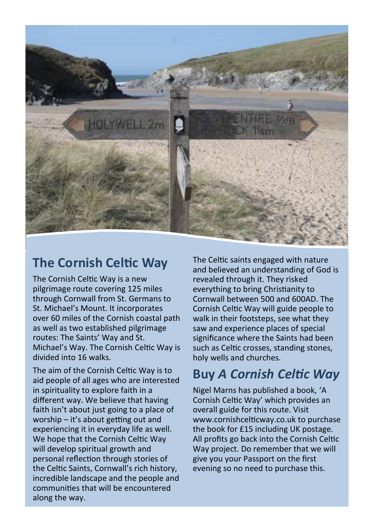

### **The Cornish Celtic Way**

The Cornish Celtic Way is a new pilgrimage route covering 125 miles through Cornwall from St. Germans to St. Michael's Mount. It incorporates over 60 miles of the Cornish coastal path as well as two established pilgrimage routes: The Saints' Way and St. Michael's Way. The Cornish Celtic Way is divided into 16 walks.

The aim of the Cornish Celtic Way is to aid people of all ages who are interested in spirituality to explore faith in a different way. We believe that having faith isn't about just going to a place of worship – it's about getting out and experiencing it in everyday life as well. We hope that the Cornish Celtic Way will develop spiritual growth and personal reflection through stories of the Celtic Saints, Cornwall's rich history, incredible landscape and the people and communities that will be encountered along the way.

The Celtic saints engaged with nature and believed an understanding of God is revealed through it. They risked everything to bring Christianity to Cornwall between 500 and 600AD. The Cornish Celtic Way will guide people to walk in their footsteps, see what they saw and experience places of special significance where the Saints had been such as Celtic crosses, standing stones, holy wells and churches.

# **Buy** *A Cornish Celtic Way*

Nigel Marns has published a book, 'A Cornish Celtic Way' which provides an overall guide for this route. Visit www.cornishcelticway.co.uk to purchase the book for £15 including UK postage. All profits go back into the Cornish Celtic Way project. Do remember that we will give you your Passport on the first evening so no need to purchase this.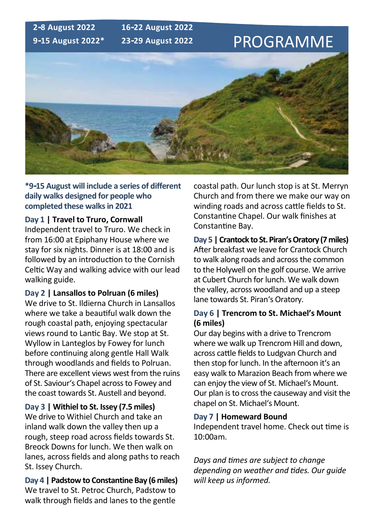

**\*9-15 August will include a series of different daily walks designed for people who completed these walks in 2021**

#### **Day 1 | Travel to Truro, Cornwall**

Independent travel to Truro. We check in from 16:00 at Epiphany House where we stay for six nights. Dinner is at 18:00 and is followed by an introduction to the Cornish Celtic Way and walking advice with our lead walking guide.

#### **Day 2 | Lansallos to Polruan (6 miles)**

We drive to St. Ildierna Church in Lansallos where we take a beautiful walk down the rough coastal path, enjoying spectacular views round to Lantic Bay. We stop at St. Wyllow in Lanteglos by Fowey for lunch before continuing along gentle Hall Walk through woodlands and fields to Polruan. There are excellent views west from the ruins of St. Saviour's Chapel across to Fowey and the coast towards St. Austell and beyond.

#### **Day 3 | Withiel to St. Issey (7.5 miles)**

We drive to Withiel Church and take an inland walk down the valley then up a rough, steep road across fields towards St. Breock Downs for lunch. We then walk on lanes, across fields and along paths to reach St. Issey Church.

**Day 4 | Padstow to Constantine Bay (6 miles)** We travel to St. Petroc Church, Padstow to walk through fields and lanes to the gentle

coastal path. Our lunch stop is at St. Merryn Church and from there we make our way on winding roads and across cattle fields to St. Constantine Chapel. Our walk finishes at Constantine Bay.

**Day 5 | Crantock to St. Piran's Oratory (7 miles)** After breakfast we leave for Crantock Church to walk along roads and across the common to the Holywell on the golf course. We arrive at Cubert Church for lunch. We walk down the valley, across woodland and up a steep lane towards St. Piran's Oratory.

#### **Day 6 | Trencrom to St. Michael's Mount (6 miles)**

Our day begins with a drive to Trencrom where we walk up Trencrom Hill and down, across cattle fields to Ludgvan Church and then stop for lunch. In the afternoon it's an easy walk to Marazion Beach from where we can enjoy the view of St. Michael's Mount. Our plan is to cross the causeway and visit the chapel on St. Michael's Mount.

#### **Day 7 | Homeward Bound**

Independent travel home. Check out time is 10:00am.

*Days and times are subject to change depending on weather and tides. Our guide will keep us informed.*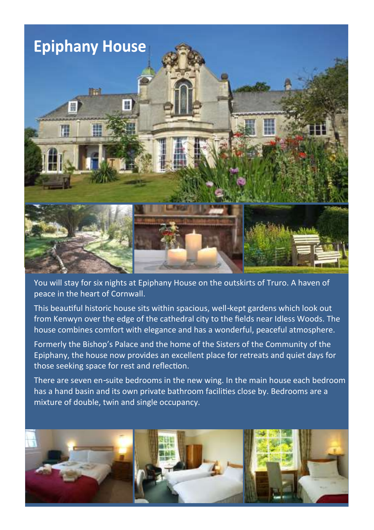

You will stay for six nights at Epiphany House on the outskirts of Truro. A haven of peace in the heart of Cornwall.

This beautiful historic house sits within spacious, well-kept gardens which look out from Kenwyn over the edge of the cathedral city to the fields near Idless Woods. The house combines comfort with elegance and has a wonderful, peaceful atmosphere.

Formerly the Bishop's Palace and the home of the Sisters of the Community of the Epiphany, the house now provides an excellent place for retreats and quiet days for those seeking space for rest and reflection.

There are seven en-suite bedrooms in the new wing. In the main house each bedroom has a hand basin and its own private bathroom facilities close by. Bedrooms are a mixture of double, twin and single occupancy.

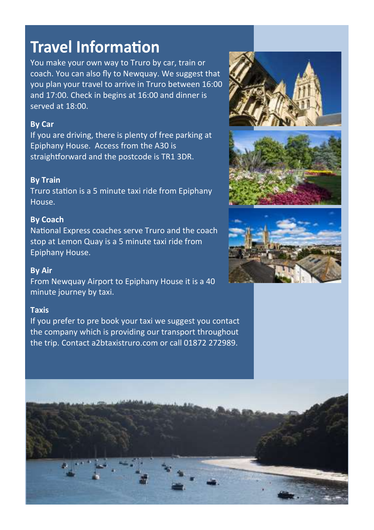# **Travel Information**

You make your own way to Truro by car, train or coach. You can also fly to Newquay. We suggest that you plan your travel to arrive in Truro between 16:00 and 17:00. Check in begins at 16:00 and dinner is served at 18:00.

#### **By Car**

If you are driving, there is plenty of free parking at Epiphany House. Access from the A30 is straightforward and the postcode is TR1 3DR.

#### **By Train**

Truro station is a 5 minute taxi ride from Epiphany House.

#### **By Coach**

National Express coaches serve Truro and the coach stop at Lemon Quay is a 5 minute taxi ride from Epiphany House.

#### **By Air**

From Newquay Airport to Epiphany House it is a 40 minute journey by taxi.

#### **Taxis**

If you prefer to pre book your taxi we suggest you contact the company which is providing our transport throughout the trip. Contact a2btaxistruro.com or call 01872 272989.